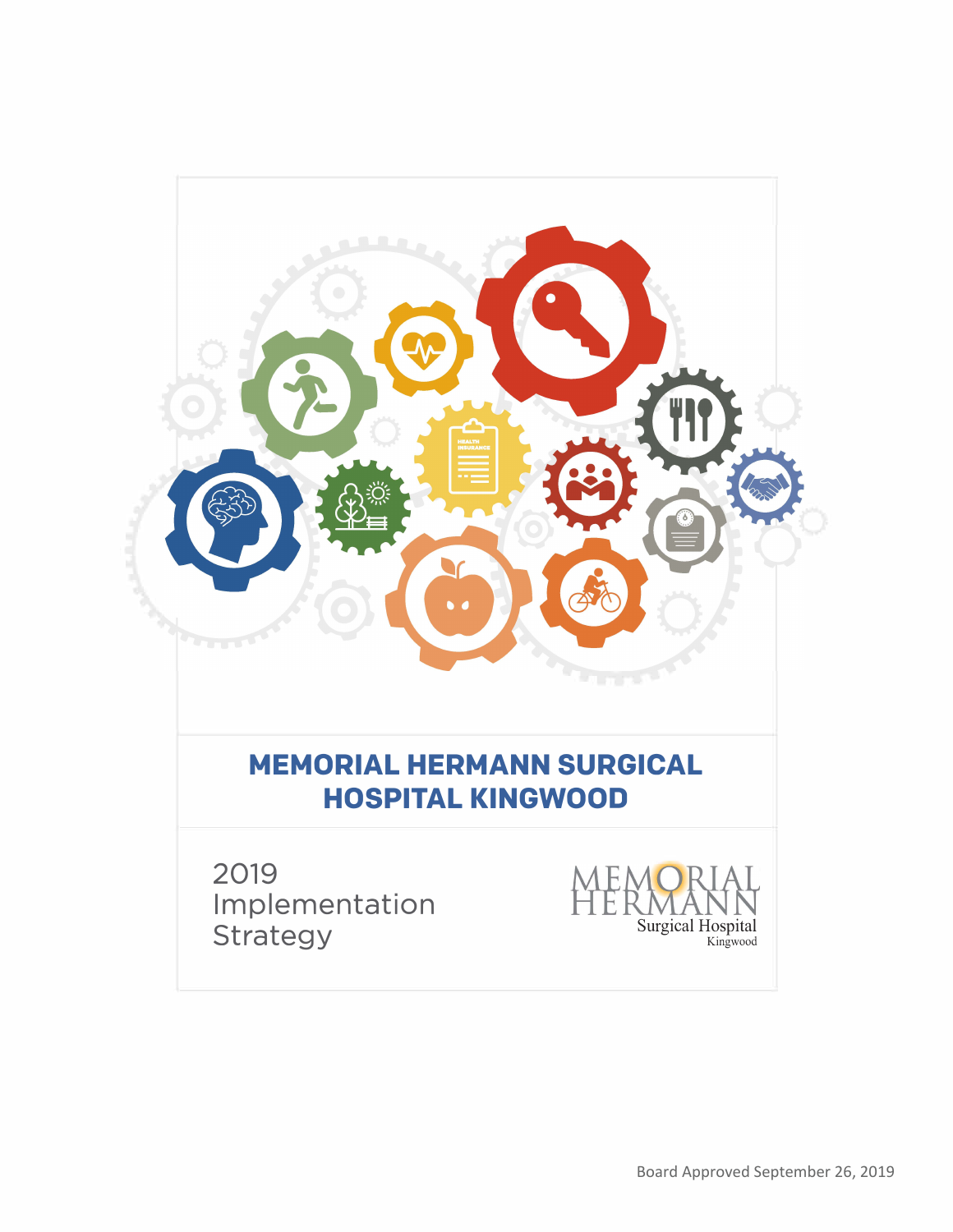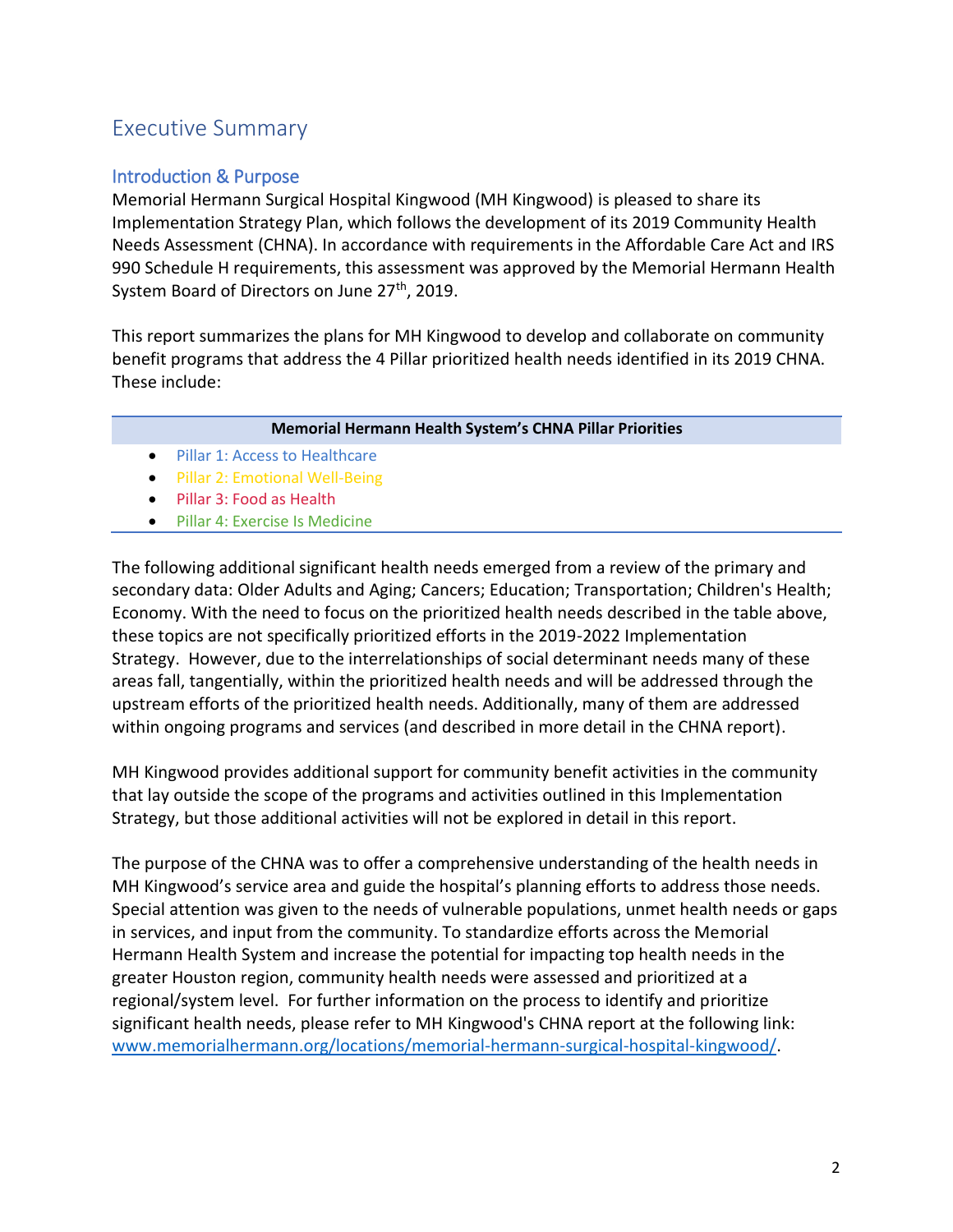# Executive Summary

# Introduction & Purpose

Memorial Hermann Surgical Hospital Kingwood (MH Kingwood) is pleased to share its Implementation Strategy Plan, which follows the development of its 2019 Community Health Needs Assessment (CHNA). In accordance with requirements in the Affordable Care Act and IRS 990 Schedule H requirements, this assessment was approved by the Memorial Hermann Health System Board of Directors on June 27<sup>th</sup>, 2019.

This report summarizes the plans for MH Kingwood to develop and collaborate on community benefit programs that address the 4 Pillar prioritized health needs identified in its 2019 CHNA. These include:

### **Memorial Hermann Health System's CHNA Pillar Priorities**

- Pillar 1: Access to Healthcare
- Pillar 2: Emotional Well-Being
- Pillar 3: Food as Health
- Pillar 4: Exercise Is Medicine

The following additional significant health needs emerged from a review of the primary and secondary data: Older Adults and Aging; Cancers; Education; Transportation; Children's Health; Economy. With the need to focus on the prioritized health needs described in the table above, these topics are not specifically prioritized efforts in the 2019-2022 Implementation Strategy. However, due to the interrelationships of social determinant needs many of these areas fall, tangentially, within the prioritized health needs and will be addressed through the upstream efforts of the prioritized health needs. Additionally, many of them are addressed within ongoing programs and services (and described in more detail in the CHNA report).

MH Kingwood provides additional support for community benefit activities in the community that lay outside the scope of the programs and activities outlined in this Implementation Strategy, but those additional activities will not be explored in detail in this report.

The purpose of the CHNA was to offer a comprehensive understanding of the health needs in MH Kingwood's service area and guide the hospital's planning efforts to address those needs. Special attention was given to the needs of vulnerable populations, unmet health needs or gaps in services, and input from the community. To standardize efforts across the Memorial Hermann Health System and increase the potential for impacting top health needs in the greater Houston region, community health needs were assessed and prioritized at a regional/system level. For further information on the process to identify and prioritize significant health needs, please refer to MH Kingwood's CHNA report at the following link: [www.memorialhermann.org/locations/memorial-hermann-surgical-hospital-kingwood/.](http://www.memorialhermann.org/locations/memorial-hermann-surgical-hospital-kingwood/)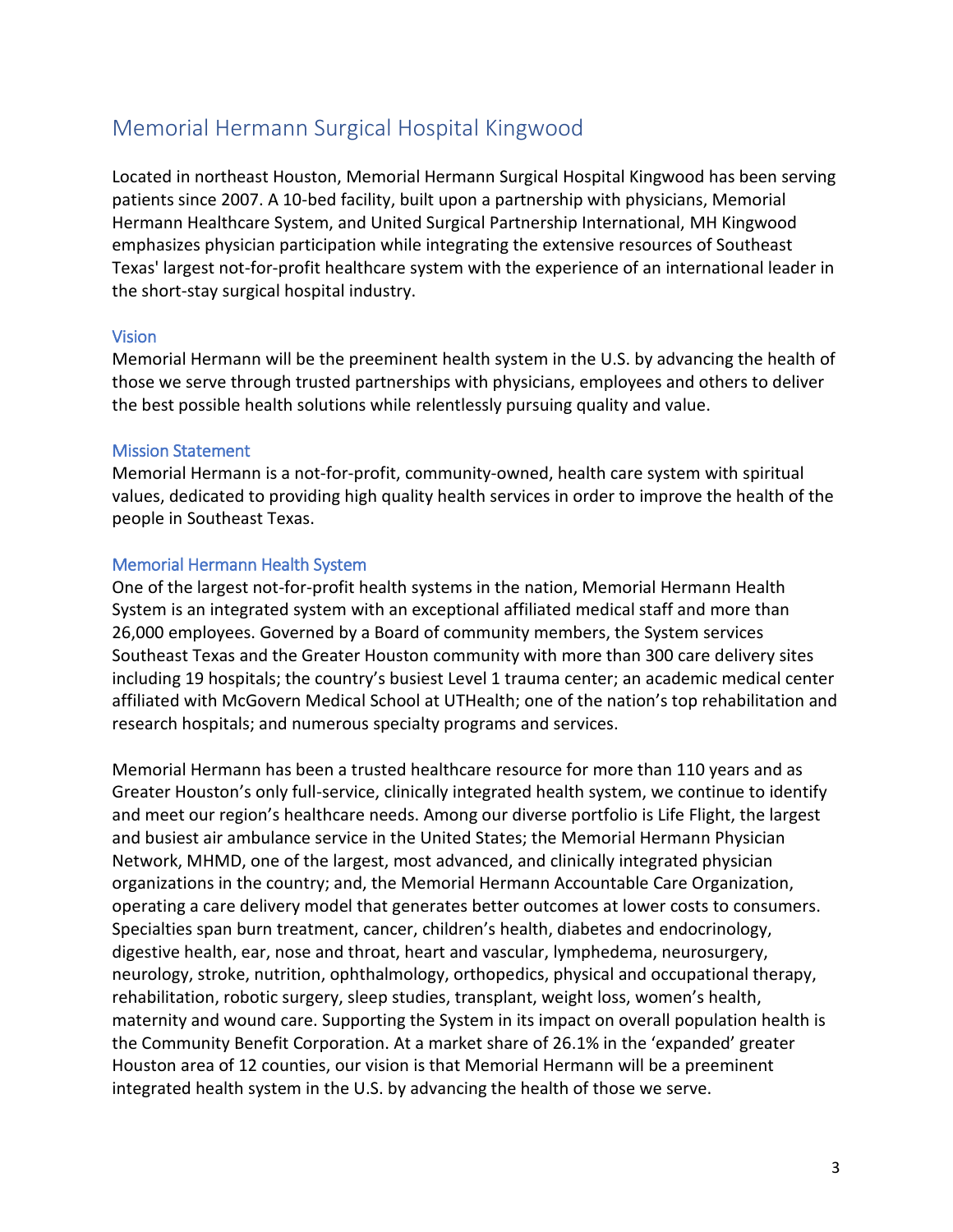# Memorial Hermann Surgical Hospital Kingwood

Located in northeast Houston, Memorial Hermann Surgical Hospital Kingwood has been serving patients since 2007. A 10-bed facility, built upon a partnership with physicians, Memorial Hermann Healthcare System, and United Surgical Partnership International, MH Kingwood emphasizes physician participation while integrating the extensive resources of Southeast Texas' largest not-for-profit healthcare system with the experience of an international leader in the short-stay surgical hospital industry.

## Vision

Memorial Hermann will be the preeminent health system in the U.S. by advancing the health of those we serve through trusted partnerships with physicians, employees and others to deliver the best possible health solutions while relentlessly pursuing quality and value.

### Mission Statement

Memorial Hermann is a not‐for‐profit, community‐owned, health care system with spiritual values, dedicated to providing high quality health services in order to improve the health of the people in Southeast Texas.  

### Memorial Hermann Health System

One of the largest not-for-profit health systems in the nation, Memorial Hermann Health System is an integrated system with an exceptional affiliated medical staff and more than 26,000 employees. Governed by a Board of community members, the System services Southeast Texas and the Greater Houston community with more than 300 care delivery sites including 19 hospitals; the country's busiest Level 1 trauma center; an academic medical center affiliated with McGovern Medical School at UTHealth; one of the nation's top rehabilitation and research hospitals; and numerous specialty programs and services.

Memorial Hermann has been a trusted healthcare resource for more than 110 years and as Greater Houston's only full-service, clinically integrated health system, we continue to identify and meet our region's healthcare needs. Among our diverse portfolio is Life Flight, the largest and busiest air ambulance service in the United States; the Memorial Hermann Physician Network, MHMD, one of the largest, most advanced, and clinically integrated physician organizations in the country; and, the Memorial Hermann Accountable Care Organization, operating a care delivery model that generates better outcomes at lower costs to consumers. Specialties span burn treatment, cancer, children's health, diabetes and endocrinology, digestive health, ear, nose and throat, heart and vascular, lymphedema, neurosurgery, neurology, stroke, nutrition, ophthalmology, orthopedics, physical and occupational therapy, rehabilitation, robotic surgery, sleep studies, transplant, weight loss, women's health, maternity and wound care. Supporting the System in its impact on overall population health is the Community Benefit Corporation. At a market share of 26.1% in the 'expanded' greater Houston area of 12 counties, our vision is that Memorial Hermann will be a preeminent integrated health system in the U.S. by advancing the health of those we serve.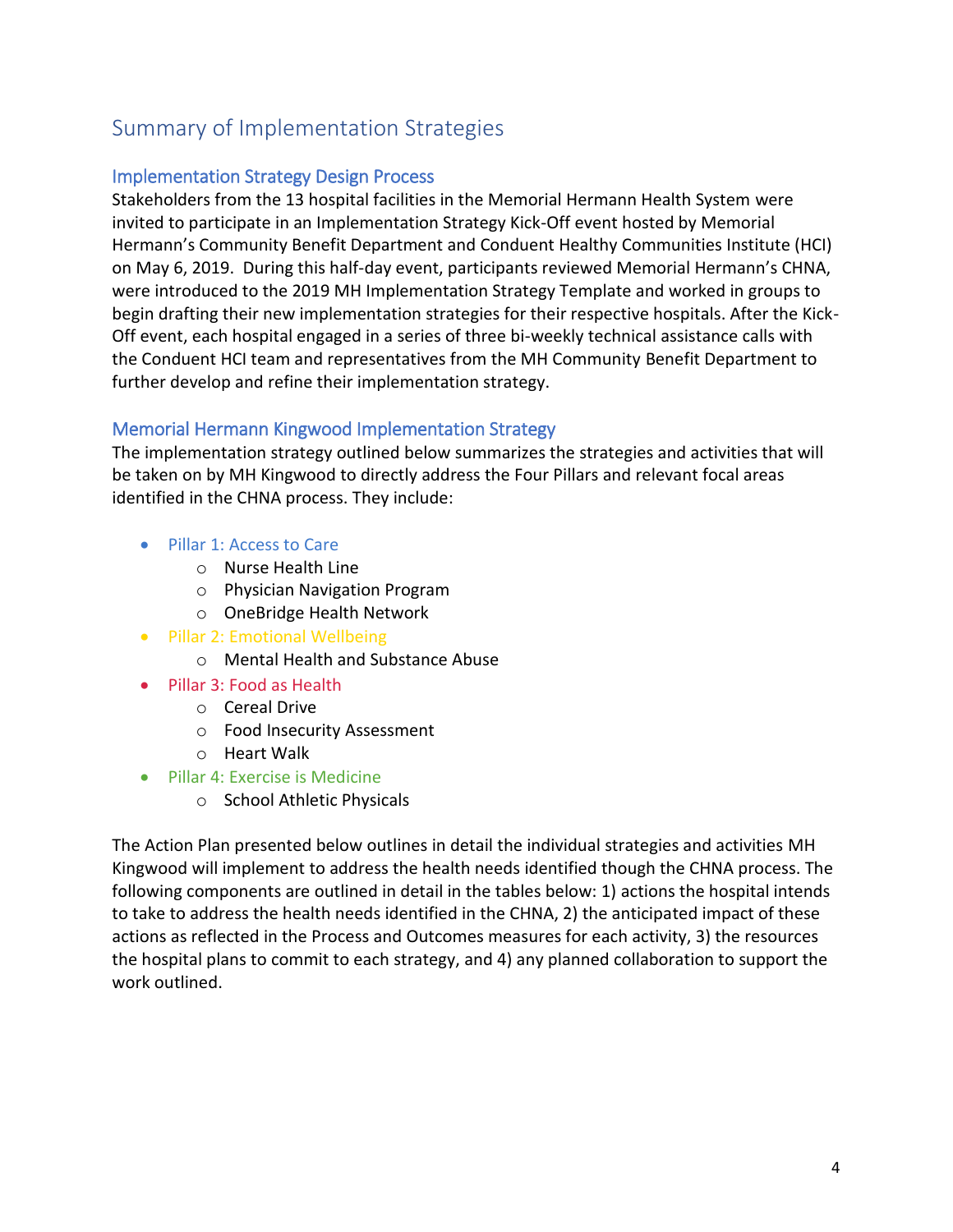# Summary of Implementation Strategies

# Implementation Strategy Design Process

Stakeholders from the 13 hospital facilities in the Memorial Hermann Health System were invited to participate in an Implementation Strategy Kick-Off event hosted by Memorial Hermann's Community Benefit Department and Conduent Healthy Communities Institute (HCI) on May 6, 2019. During this half-day event, participants reviewed Memorial Hermann's CHNA, were introduced to the 2019 MH Implementation Strategy Template and worked in groups to begin drafting their new implementation strategies for their respective hospitals. After the Kick-Off event, each hospital engaged in a series of three bi-weekly technical assistance calls with the Conduent HCI team and representatives from the MH Community Benefit Department to further develop and refine their implementation strategy.

# Memorial Hermann Kingwood Implementation Strategy

The implementation strategy outlined below summarizes the strategies and activities that will be taken on by MH Kingwood to directly address the Four Pillars and relevant focal areas identified in the CHNA process. They include:

- Pillar 1: Access to Care
	- o Nurse Health Line
	- o Physician Navigation Program
	- o OneBridge Health Network
- Pillar 2: Emotional Wellbeing
	- o Mental Health and Substance Abuse
- Pillar 3: Food as Health
	- o Cereal Drive
	- o Food Insecurity Assessment
	- o Heart Walk
- Pillar 4: Exercise is Medicine
	- o School Athletic Physicals

The Action Plan presented below outlines in detail the individual strategies and activities MH Kingwood will implement to address the health needs identified though the CHNA process. The following components are outlined in detail in the tables below: 1) actions the hospital intends to take to address the health needs identified in the CHNA, 2) the anticipated impact of these actions as reflected in the Process and Outcomes measures for each activity, 3) the resources the hospital plans to commit to each strategy, and 4) any planned collaboration to support the work outlined.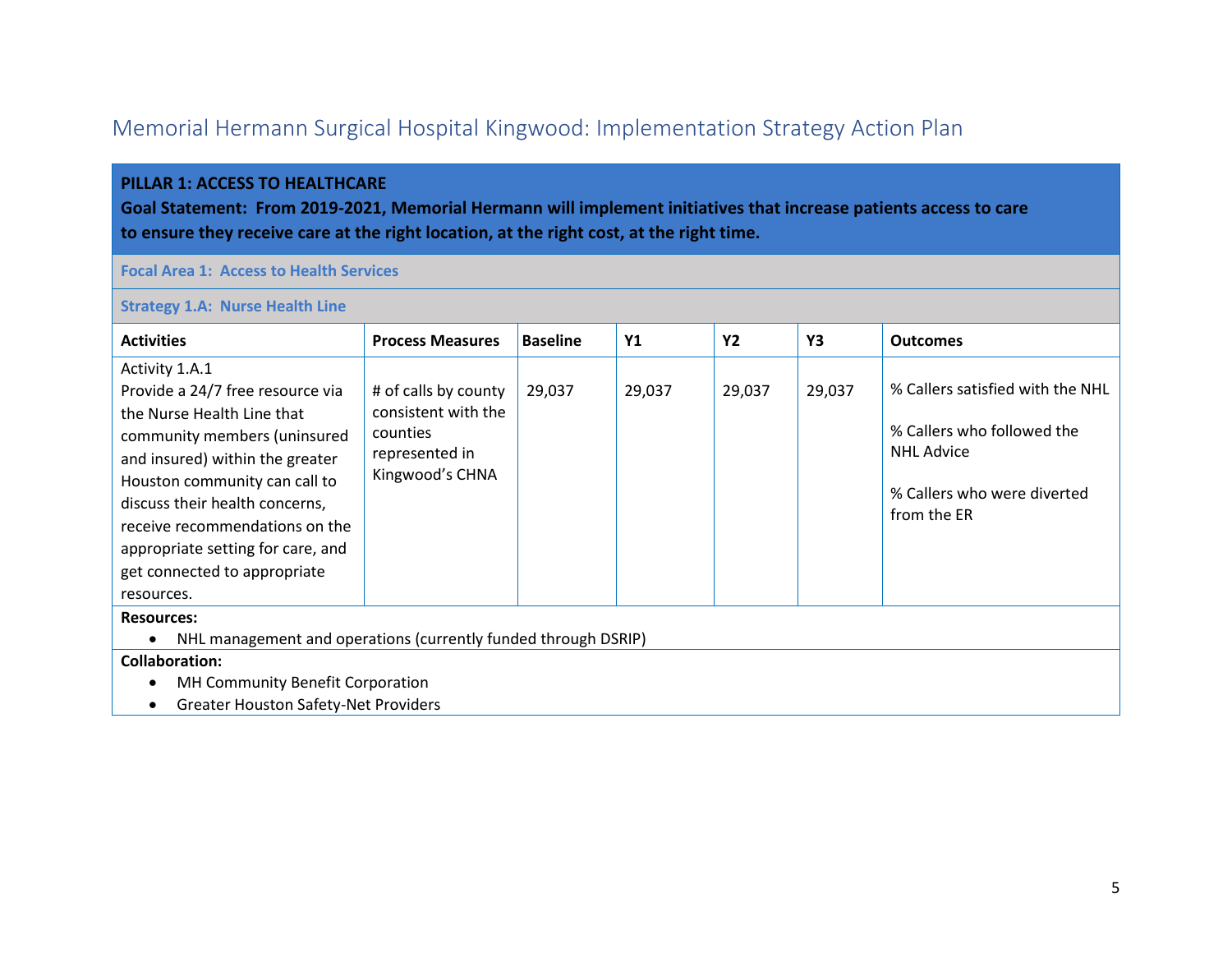# Memorial Hermann Surgical Hospital Kingwood: Implementation Strategy Action Plan

### **PILLAR 1: ACCESS TO HEALTHCARE**

**Goal Statement: From 2019-2021, Memorial Hermann will implement initiatives that increase patients access to care to ensure they receive care at the right location, at the right cost, at the right time.**

### **Focal Area 1: Access to Health Services**

#### **Strategy 1.A: Nurse Health Line**

| <b>Activities</b>                                                                                                                                                                                                       | <b>Process Measures</b>                                                   | <b>Baseline</b> | <b>Y1</b> | Y2     | Y3     | <b>Outcomes</b>                                                                     |  |  |  |
|-------------------------------------------------------------------------------------------------------------------------------------------------------------------------------------------------------------------------|---------------------------------------------------------------------------|-----------------|-----------|--------|--------|-------------------------------------------------------------------------------------|--|--|--|
| Activity 1.A.1<br>Provide a 24/7 free resource via<br>the Nurse Health Line that<br>community members (uninsured                                                                                                        | # of calls by county<br>consistent with the<br>counties<br>represented in | 29,037          | 29,037    | 29,037 | 29,037 | % Callers satisfied with the NHL<br>% Callers who followed the<br><b>NHL Advice</b> |  |  |  |
| and insured) within the greater<br>Houston community can call to<br>discuss their health concerns,<br>receive recommendations on the<br>appropriate setting for care, and<br>get connected to appropriate<br>resources. | Kingwood's CHNA                                                           |                 |           |        |        | % Callers who were diverted<br>from the ER                                          |  |  |  |
| <b>Resources:</b><br>NHL management and operations (currently funded through DSRIP)                                                                                                                                     |                                                                           |                 |           |        |        |                                                                                     |  |  |  |
| <b>Collaboration:</b><br><b>MH Community Benefit Corporation</b><br><b>Greater Houston Safety-Net Providers</b>                                                                                                         |                                                                           |                 |           |        |        |                                                                                     |  |  |  |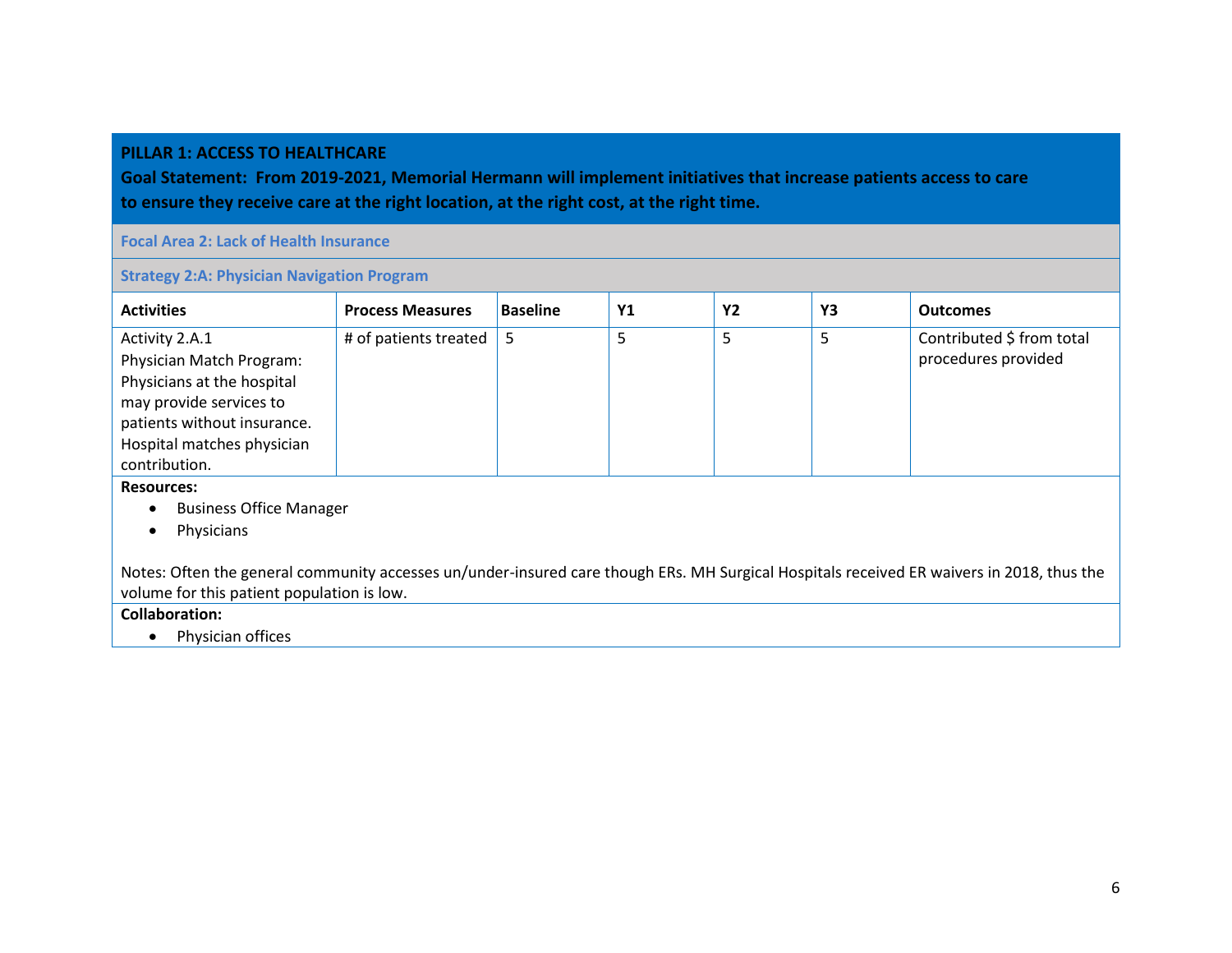### **PILLAR 1: ACCESS TO HEALTHCARE**

**Goal Statement: From 2019-2021, Memorial Hermann will implement initiatives that increase patients access to care to ensure they receive care at the right location, at the right cost, at the right time.**

**Focal Area 2: Lack of Health Insurance**

**Strategy 2:A: Physician Navigation Program**

| <b>Activities</b>                                                                                                                         | <b>Process Measures</b> | <b>Baseline</b> | Y1 | <b>Y2</b> | Y3 | <b>Outcomes</b>           |  |  |
|-------------------------------------------------------------------------------------------------------------------------------------------|-------------------------|-----------------|----|-----------|----|---------------------------|--|--|
| Activity 2.A.1                                                                                                                            | # of patients treated   | 5               | 5  | 5         | 5  | Contributed \$ from total |  |  |
| Physician Match Program:                                                                                                                  |                         |                 |    |           |    | procedures provided       |  |  |
| Physicians at the hospital                                                                                                                |                         |                 |    |           |    |                           |  |  |
| may provide services to                                                                                                                   |                         |                 |    |           |    |                           |  |  |
| patients without insurance.                                                                                                               |                         |                 |    |           |    |                           |  |  |
| Hospital matches physician                                                                                                                |                         |                 |    |           |    |                           |  |  |
| contribution.                                                                                                                             |                         |                 |    |           |    |                           |  |  |
| <b>Resources:</b>                                                                                                                         |                         |                 |    |           |    |                           |  |  |
| <b>Business Office Manager</b><br>$\bullet$                                                                                               |                         |                 |    |           |    |                           |  |  |
| Physicians                                                                                                                                |                         |                 |    |           |    |                           |  |  |
| Notes: Often the general community accesses un/under-insured care though ERs. MH Surgical Hospitals received ER waivers in 2018, thus the |                         |                 |    |           |    |                           |  |  |

volume for this patient population is low.

**Collaboration:** 

• Physician offices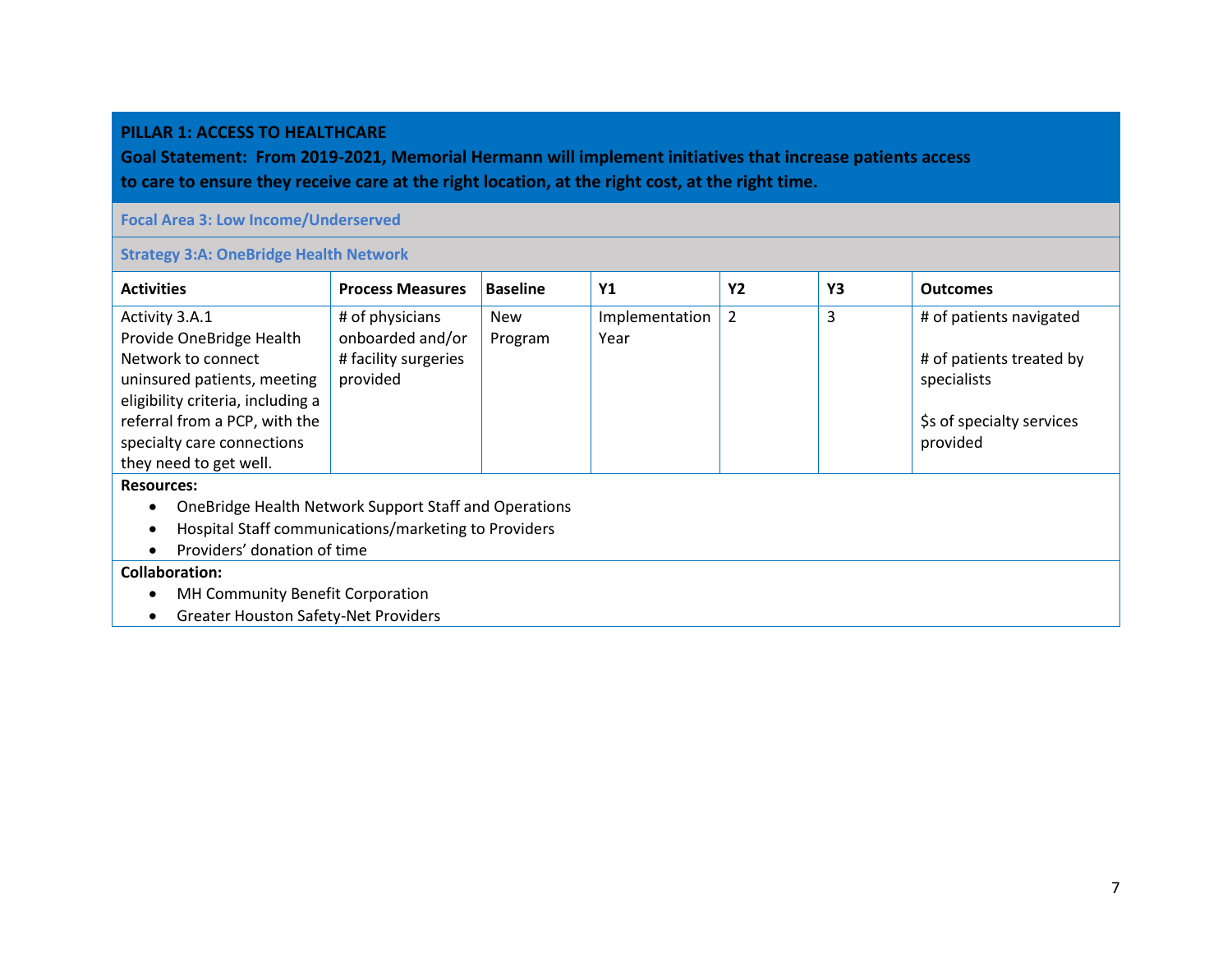#### **PILLAR 1: ACCESS TO HEALTHCARE**

**Goal Statement: From 2019-2021, Memorial Hermann will implement initiatives that increase patients access to care to ensure they receive care at the right location, at the right cost, at the right time.**

### **Focal Area 3: Low Income/Underserved**

### **Strategy 3:A: OneBridge Health Network**

| <b>Activities</b>                                     | <b>Process Measures</b> | <b>Baseline</b> | <b>Y1</b>      | <b>Y2</b>      | Y3 | <b>Outcomes</b>           |  |  |
|-------------------------------------------------------|-------------------------|-----------------|----------------|----------------|----|---------------------------|--|--|
| Activity 3.A.1                                        | # of physicians         | <b>New</b>      | Implementation | $\overline{2}$ | 3  | # of patients navigated   |  |  |
| Provide OneBridge Health                              | onboarded and/or        | Program         | Year           |                |    |                           |  |  |
| Network to connect                                    | # facility surgeries    |                 |                |                |    | # of patients treated by  |  |  |
| uninsured patients, meeting                           | provided                |                 |                |                |    | specialists               |  |  |
| eligibility criteria, including a                     |                         |                 |                |                |    |                           |  |  |
| referral from a PCP, with the                         |                         |                 |                |                |    | \$s of specialty services |  |  |
| specialty care connections                            |                         |                 |                |                |    | provided                  |  |  |
| they need to get well.                                |                         |                 |                |                |    |                           |  |  |
| <b>Resources:</b>                                     |                         |                 |                |                |    |                           |  |  |
| OneBridge Health Network Support Staff and Operations |                         |                 |                |                |    |                           |  |  |
| Hospital Staff communications/marketing to Providers  |                         |                 |                |                |    |                           |  |  |
| Providers' donation of time                           |                         |                 |                |                |    |                           |  |  |
| <b>Collaboration:</b>                                 |                         |                 |                |                |    |                           |  |  |
| MH Community Benefit Corporation                      |                         |                 |                |                |    |                           |  |  |
| <b>Greater Houston Safety-Net Providers</b>           |                         |                 |                |                |    |                           |  |  |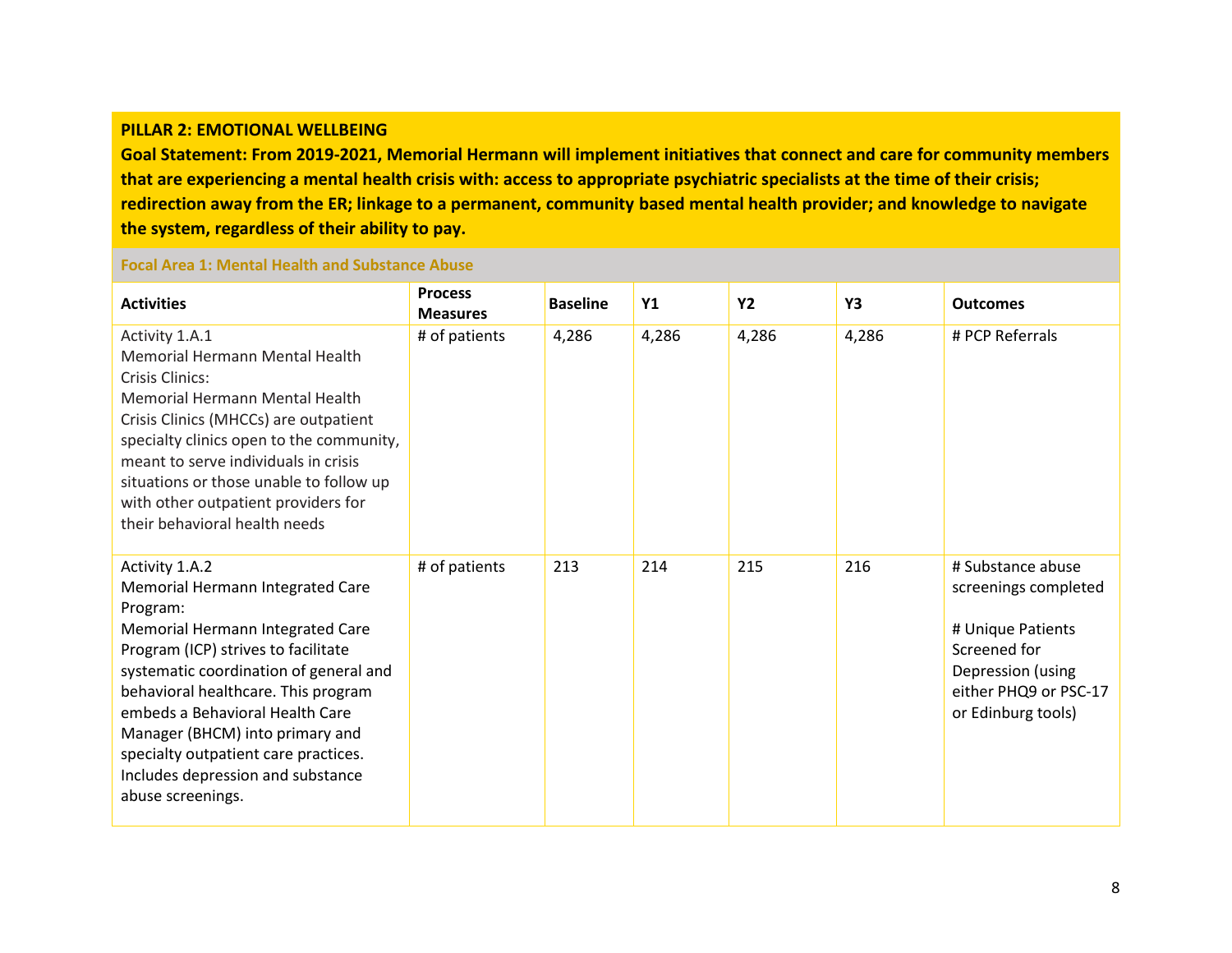#### **PILLAR 2: EMOTIONAL WELLBEING**

**Goal Statement: From 2019-2021, Memorial Hermann will implement initiatives that connect and care for community members that are experiencing a mental health crisis with: access to appropriate psychiatric specialists at the time of their crisis; redirection away from the ER; linkage to a permanent, community based mental health provider; and knowledge to navigate the system, regardless of their ability to pay.**

## **Focal Area 1: Mental Health and Substance Abuse**

| <b>Activities</b>                                                                                                                                                                                                                                                                                                                                                                                  | <b>Process</b><br><b>Measures</b> | <b>Baseline</b> | <b>Y1</b> | <b>Y2</b> | Y3    | <b>Outcomes</b>                                                                                                                                    |
|----------------------------------------------------------------------------------------------------------------------------------------------------------------------------------------------------------------------------------------------------------------------------------------------------------------------------------------------------------------------------------------------------|-----------------------------------|-----------------|-----------|-----------|-------|----------------------------------------------------------------------------------------------------------------------------------------------------|
| Activity 1.A.1<br>Memorial Hermann Mental Health<br>Crisis Clinics:<br><b>Memorial Hermann Mental Health</b><br>Crisis Clinics (MHCCs) are outpatient<br>specialty clinics open to the community,<br>meant to serve individuals in crisis<br>situations or those unable to follow up<br>with other outpatient providers for<br>their behavioral health needs                                       | # of patients                     | 4,286           | 4,286     | 4,286     | 4,286 | # PCP Referrals                                                                                                                                    |
| Activity 1.A.2<br>Memorial Hermann Integrated Care<br>Program:<br>Memorial Hermann Integrated Care<br>Program (ICP) strives to facilitate<br>systematic coordination of general and<br>behavioral healthcare. This program<br>embeds a Behavioral Health Care<br>Manager (BHCM) into primary and<br>specialty outpatient care practices.<br>Includes depression and substance<br>abuse screenings. | # of patients                     | 213             | 214       | 215       | 216   | # Substance abuse<br>screenings completed<br># Unique Patients<br>Screened for<br>Depression (using<br>either PHQ9 or PSC-17<br>or Edinburg tools) |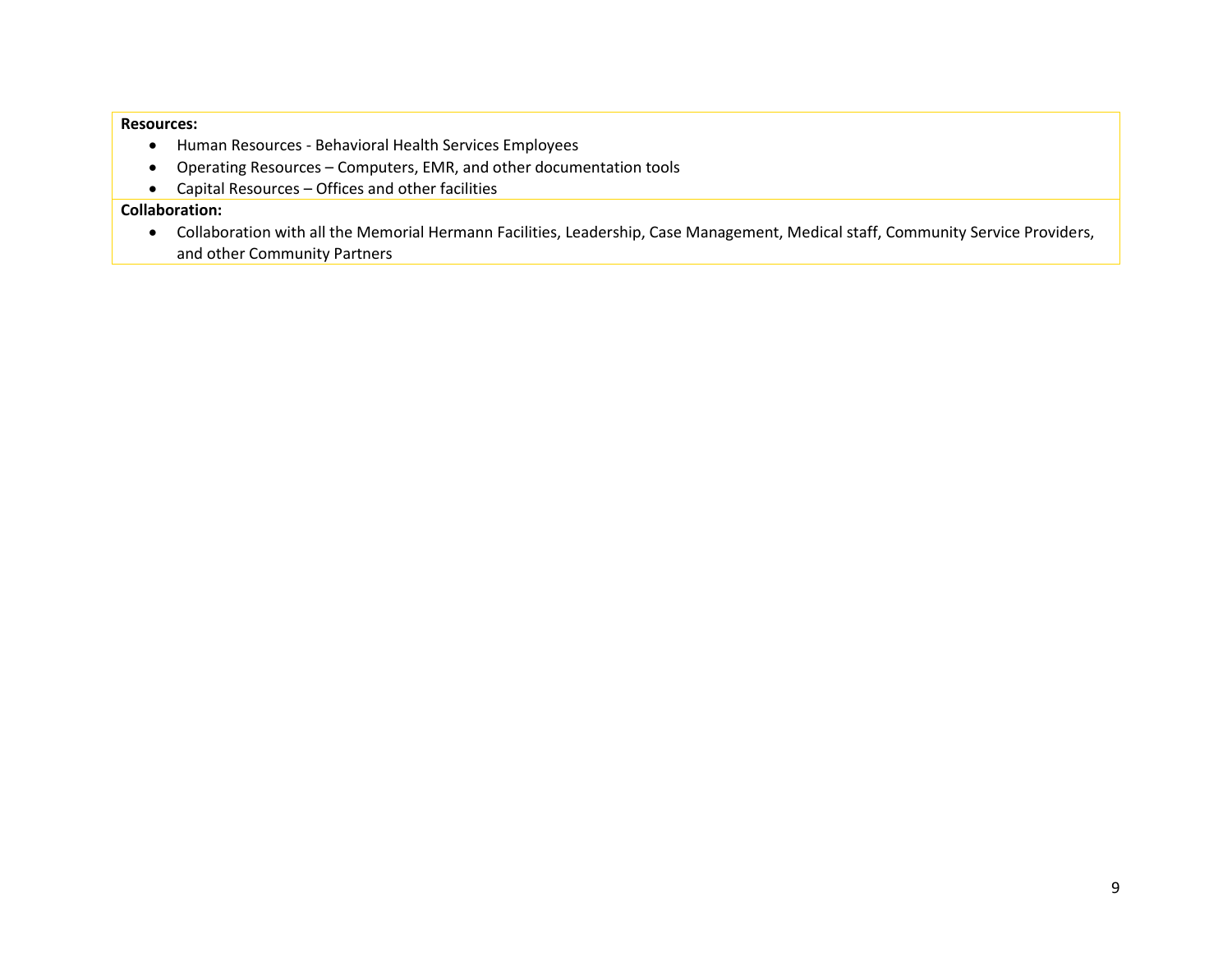#### **Resources:**

- Human Resources Behavioral Health Services Employees
- Operating Resources Computers, EMR, and other documentation tools
- Capital Resources Offices and other facilities

# **Collaboration:**

• Collaboration with all the Memorial Hermann Facilities, Leadership, Case Management, Medical staff, Community Service Providers, and other Community Partners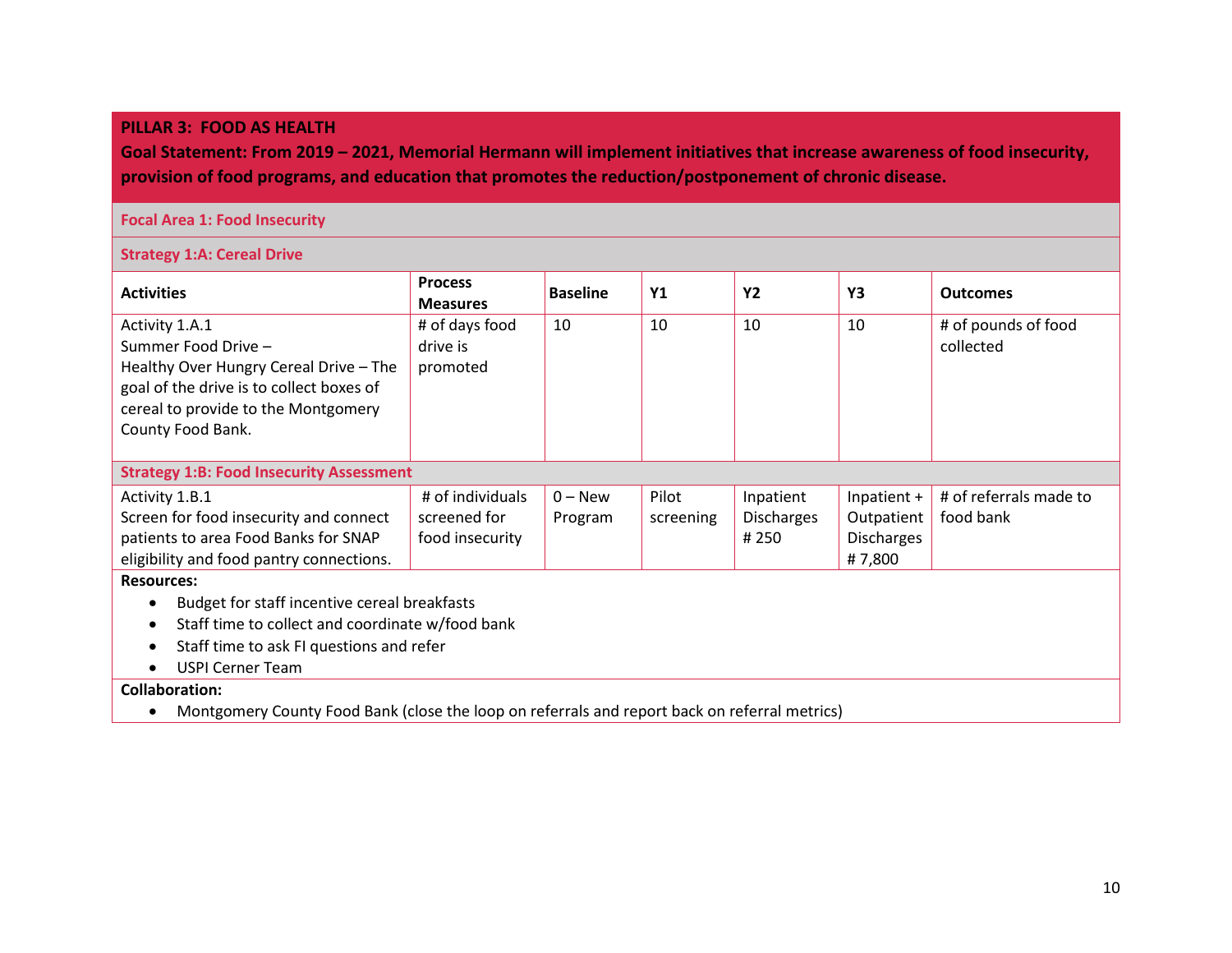#### **PILLAR 3: FOOD AS HEALTH**

**Goal Statement: From 2019 – 2021, Memorial Hermann will implement initiatives that increase awareness of food insecurity, provision of food programs, and education that promotes the reduction/postponement of chronic disease.**

## **Focal Area 1: Food Insecurity**

**Strategy 1:A: Cereal Drive**

| <b>Activities</b>                                             | <b>Process</b><br><b>Measures</b> | <b>Baseline</b> | <b>Y1</b> | <b>Y2</b>         | Y3                | <b>Outcomes</b>        |  |  |
|---------------------------------------------------------------|-----------------------------------|-----------------|-----------|-------------------|-------------------|------------------------|--|--|
| Activity 1.A.1                                                | # of days food                    | 10              | 10        | 10                | 10                | # of pounds of food    |  |  |
| Summer Food Drive -                                           | drive is                          |                 |           |                   |                   | collected              |  |  |
| Healthy Over Hungry Cereal Drive - The                        | promoted                          |                 |           |                   |                   |                        |  |  |
| goal of the drive is to collect boxes of                      |                                   |                 |           |                   |                   |                        |  |  |
| cereal to provide to the Montgomery                           |                                   |                 |           |                   |                   |                        |  |  |
| County Food Bank.                                             |                                   |                 |           |                   |                   |                        |  |  |
|                                                               |                                   |                 |           |                   |                   |                        |  |  |
| <b>Strategy 1:B: Food Insecurity Assessment</b>               |                                   |                 |           |                   |                   |                        |  |  |
| Activity 1.B.1                                                | # of individuals                  | $0 - New$       | Pilot     | Inpatient         | Inpatient +       | # of referrals made to |  |  |
| Screen for food insecurity and connect                        | screened for                      | Program         | screening | <b>Discharges</b> | Outpatient        | food bank              |  |  |
| patients to area Food Banks for SNAP                          | food insecurity                   |                 |           | # 250             | <b>Discharges</b> |                        |  |  |
| eligibility and food pantry connections.                      |                                   |                 |           |                   | #7,800            |                        |  |  |
| <b>Resources:</b>                                             |                                   |                 |           |                   |                   |                        |  |  |
| Budget for staff incentive cereal breakfasts<br>$\bullet$     |                                   |                 |           |                   |                   |                        |  |  |
| Staff time to collect and coordinate w/food bank<br>$\bullet$ |                                   |                 |           |                   |                   |                        |  |  |
| Staff time to ask FI questions and refer<br>$\bullet$         |                                   |                 |           |                   |                   |                        |  |  |
| <b>USPI Cerner Team</b>                                       |                                   |                 |           |                   |                   |                        |  |  |
| <b>Collaboration:</b>                                         |                                   |                 |           |                   |                   |                        |  |  |

• Montgomery County Food Bank (close the loop on referrals and report back on referral metrics)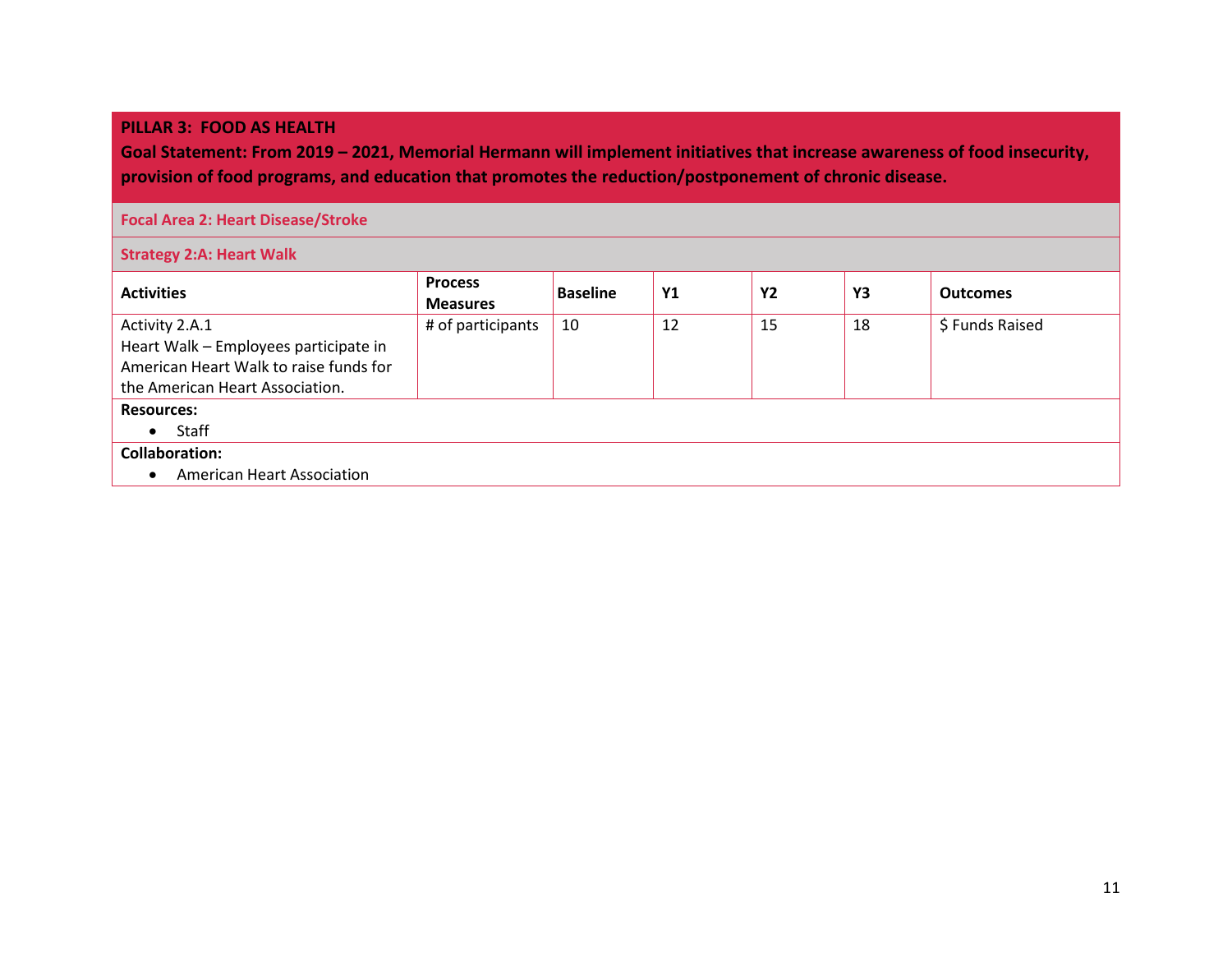#### **PILLAR 3: FOOD AS HEALTH**

**Goal Statement: From 2019 – 2021, Memorial Hermann will implement initiatives that increase awareness of food insecurity, provision of food programs, and education that promotes the reduction/postponement of chronic disease.**

#### **Focal Area 2: Heart Disease/Stroke**

**Strategy 2:A: Heart Walk**

| <b>Activities</b>                      | <b>Process</b><br><b>Measures</b> | <b>Baseline</b> | <b>Y1</b> | <b>Y2</b> | Y3 | <b>Outcomes</b> |  |  |
|----------------------------------------|-----------------------------------|-----------------|-----------|-----------|----|-----------------|--|--|
| Activity 2.A.1                         | # of participants                 | 10              | 12        | 15        | 18 | \$ Funds Raised |  |  |
| Heart Walk - Employees participate in  |                                   |                 |           |           |    |                 |  |  |
| American Heart Walk to raise funds for |                                   |                 |           |           |    |                 |  |  |
| the American Heart Association.        |                                   |                 |           |           |    |                 |  |  |
| <b>Resources:</b>                      |                                   |                 |           |           |    |                 |  |  |
| Staff<br>$\bullet$                     |                                   |                 |           |           |    |                 |  |  |
| <b>Collaboration:</b>                  |                                   |                 |           |           |    |                 |  |  |
| <b>American Heart Association</b>      |                                   |                 |           |           |    |                 |  |  |